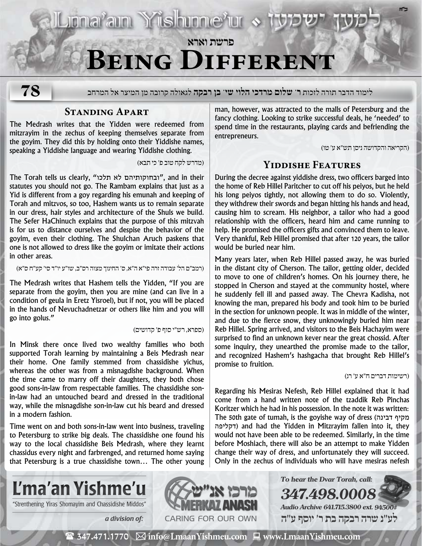Liona<sup>v</sup>ain Yüshinne'ur > 13

# **פרשת וארא Being Different**

**78**

לימוד הדבר תורה לזכות **ר' שלום מרדכי הלוי שי' בן רבקה** לגאולה קרובה מן המיצר אל המרחב

#### **Standing Apart**

The Medrash writes that the Yidden were redeemed from mitzrayim in the zechus of keeping themselves separate from the goyim. They did this by holding onto their Yiddishe names, speaking a Yiddishe language and wearing Yiddishe clothing.

)מדרש לקח טוב פ׳ כי תבא(

The Torah tells us clearly, "ובחוקותיהם לא תלכו", and in their statutes you should not go. The Rambam explains that just as a Yid is different from a goy regarding his emunah and keeping of Torah and mitzvos, so too, Hashem wants us to remain separate in our dress, hair styles and architecture of the Shuls we build. The Sefer HaChinuch explains that the purpose of this mitzvah is for us to distance ourselves and despise the behavior of the goyim, even their clothing. The Shulchan Aruch paskens that one is not allowed to dress like the goyim or imitate their actions in other areas.

)רמב״ם הל׳ עבודה זרה פי״א ה״א, ס׳ החינוך מצוה רס״ב, שו״ע יו״ד סי׳ קע״ח ס״א(

The Medrash writes that Hashem tells the Yidden, "If you are separate from the goyim, then you are mine (and can live in a condition of geula in Eretz Yisroel), but if not, you will be placed in the hands of Nevuchadnetzar or others like him and you will go into golus."

)ספרא, רש״י סוף פ׳ קדושים(

In Minsk there once lived two wealthy families who both supported Torah learning by maintaining a Beis Medrash near their home. One family stemmed from chassidishe yichus, whereas the other was from a misnagdishe background. When the time came to marry off their daughters, they both chose good sons-in-law from respectable families. The chassidishe sonin-law had an untouched beard and dressed in the traditional way, while the misnagdishe son-in-law cut his beard and dressed in a modern fashion.

Time went on and both sons-in-law went into business, traveling to Petersburg to strike big deals. The chassidishe one found his way to the local chassidishe Beis Medrash, where they learnt chassidus every night and farbrenged, and returned home saying that Petersburg is a true chassidishe town… The other young man, however, was attracted to the malls of Petersburg and the fancy clothing. Looking to strike successful deals, he 'needed' to spend time in the restaurants, playing cards and befriending the entrepreneurs.

)הקריאה והקדושה ניסן תש״א ע׳ טו(

**ב"ה**

## **Yiddishe Features**

During the decree against yiddishe dress, two officers barged into the home of Reb Hillel Paritcher to cut off his peiyos, but he held his long peiyos tightly, not allowing them to do so. Violently, they withdrew their swords and began hitting his hands and head, causing him to scream. His neighbor, a tailor who had a good relationship with the officers, heard him and came running to help. He promised the officers gifts and convinced them to leave. Very thankful, Reb Hillel promised that after 120 years, the tailor would be buried near him.

Many years later, when Reb Hillel passed away, he was buried in the distant city of Cherson. The tailor, getting older, decided to move to one of children's homes. On his journey there, he stopped in Cherson and stayed at the community hostel, where he suddenly fell ill and passed away. The Chevra Kadisha, not knowing the man, prepared his body and took him to be buried in the section for unknown people. It was in middle of the winter, and due to the fierce snow, they unknowingly buried him near Reb Hillel. Spring arrived, and visitors to the Beis Hachayim were surprised to find an unknown kever near the great chossid. After some inquiry, they unearthed the promise made to the tailor, and recognized Hashem's hashgacha that brought Reb Hillel's promise to fruition.

#### )רשימות דברים ח״א ע׳ רנ(

Regarding his Mesiras Nefesh, Reb Hillel explained that it had come from a hand written note of the tzaddik Reb Pinchas Koritzer which he had in his possession. In the note it was written: The 50th gate of tumah, is the goyishe way of dress (דבינה מקיף דקליפה (and had the Yidden in Mitzrayim fallen into it, they would not have been able to be redeemed. Similarly, in the time before Moshiach, there will also be an attempt to make Yidden change their way of dress, and unfortunately they will succeed. Only in the zechus of individuals who will have mesiras nefesh

**To hear the Dvar Torah, call:**

**Audio Archive 641.715.3800 ext. 94500#**

**347.498.0008**



"Strenthening Yiras Shomayim and Chassidishe Middos" **WAMERKAY ANASH** 



 $\mathbf{m}$  and  $\mathbf{m}$  and  $\mathbf{m}$  **לע"נ שרה רבקה בת ר׳ יוסף ע"ה**

( 347.471.1770 **info@LmaanYishmeu.com www.LmaanYishmeu.com**